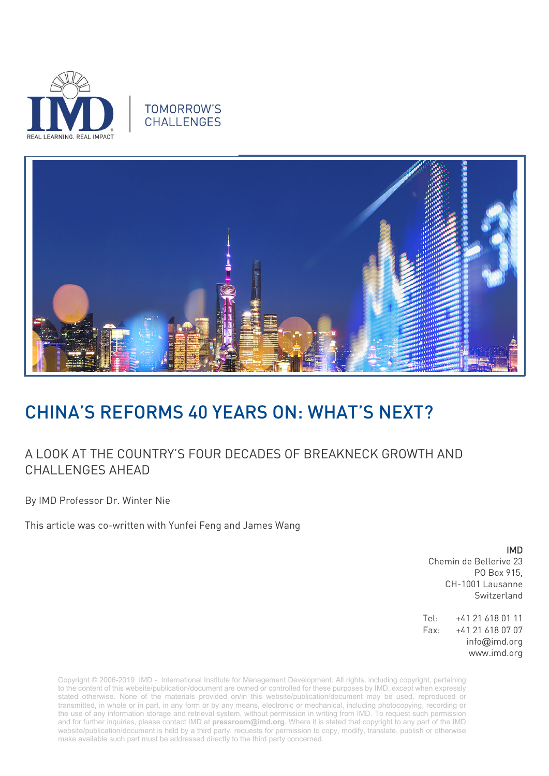

### **TOMORROW'S** CHALLENGES



# CHINA'S REFORMS 40 YEARS ON: WHAT'S NEXT?

## A LOOK AT THE COUNTRY'S FOUR DECADES OF BREAKNECK GROWTH AND CHALL ENGES AHEAD

By IMD Professor Dr. Winter Nie

This article was co-written with Yunfei Feng and James Wang

IMD Chemin de Bellerive 23 PO Box 915, CH-1001 Lausanne Switzerland

Tel: +41 21 618 01 11 Fax: +41 21 618 07 07 info@imd.org www.imd.org

Copyright © 2006-2019 IMD - International Institute for Management Development. All rights, including copyright, pertaining to the content of this website/publication/document are owned or controlled for these purposes by IMD, except when expressly stated otherwise. None of the materials provided on/in this website/publication/document may be used, reproduced or transmitted, in whole or in part, in any form or by any means, electronic or mechanical, including photocopying, recording or the use of any information storage and retrieval system, without permission in writing from IMD. To request such permission and for further inquiries, please contact IMD at **[pressroom@imd.org](mailto:pressroom@imd.org)**. Where it is stated that copyright to any part of the IMD website/publication/document is held by a third party, requests for permission to copy, modify, translate, publish or otherwise make available such part must be addressed directly to the third party concerned.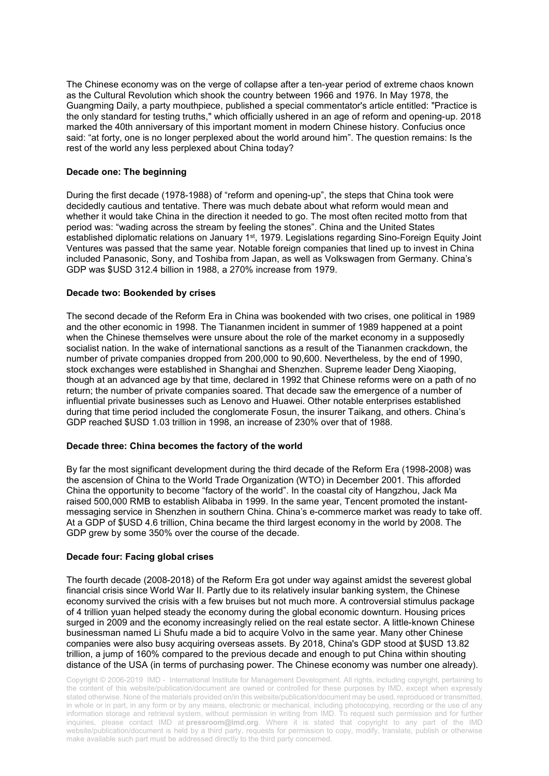The Chinese economy was on the verge of collapse after a ten-year period of extreme chaos known as the Cultural Revolution which shook the country between 1966 and 1976. In May 1978, the Guangming Daily, a party mouthpiece, published a special commentator's article entitled: "Practice is the only standard for testing truths," which officially ushered in an age of reform and opening-up. 2018 marked the 40th anniversary of this important moment in modern Chinese history. Confucius once said: "at forty, one is no longer perplexed about the world around him". The question remains: Is the rest of the world any less perplexed about China today?

#### **Decade one: The beginning**

During the first decade (1978-1988) of "reform and opening-up", the steps that China took were decidedly cautious and tentative. There was much debate about what reform would mean and whether it would take China in the direction it needed to go. The most often recited motto from that period was: "wading across the stream by feeling the stones". China and the United States established diplomatic relations on January 1<sup>st</sup>, 1979. Legislations regarding Sino-Foreign Equity Joint Ventures was passed that the same year. Notable foreign companies that lined up to invest in China included Panasonic, Sony, and Toshiba from Japan, as well as Volkswagen from Germany. China's GDP was \$USD 312.4 billion in 1988, a 270% increase from 1979.

#### **Decade two: Bookended by crises**

The second decade of the Reform Era in China was bookended with two crises, one political in 1989 and the other economic in 1998. The Tiananmen incident in summer of 1989 happened at a point when the Chinese themselves were unsure about the role of the market economy in a supposedly socialist nation. In the wake of international sanctions as a result of the Tiananmen crackdown, the number of private companies dropped from 200,000 to 90,600. Nevertheless, by the end of 1990, stock exchanges were established in Shanghai and Shenzhen. Supreme leader Deng Xiaoping, though at an advanced age by that time, declared in 1992 that Chinese reforms were on a path of no return; the number of private companies soared. That decade saw the emergence of a number of influential private businesses such as Lenovo and Huawei. Other notable enterprises established during that time period included the conglomerate Fosun, the insurer Taikang, and others. China's GDP reached \$USD 1.03 trillion in 1998, an increase of 230% over that of 1988.

#### **Decade three: China becomes the factory of the world**

By far the most significant development during the third decade of the Reform Era (1998-2008) was the ascension of China to the World Trade Organization (WTO) in December 2001. This afforded China the opportunity to become "factory of the world". In the coastal city of Hangzhou, Jack Ma raised 500,000 RMB to establish Alibaba in 1999. In the same year, Tencent promoted the instantmessaging service in Shenzhen in southern China. China's e-commerce market was ready to take off. At a GDP of \$USD 4.6 trillion, China became the third largest economy in the world by 2008. The GDP grew by some 350% over the course of the decade.

#### **Decade four: Facing global crises**

The fourth decade (2008-2018) of the Reform Era got under way against amidst the severest global financial crisis since World War II. Partly due to its relatively insular banking system, the Chinese economy survived the crisis with a few bruises but not much more. A controversial stimulus package of 4 trillion yuan helped steady the economy during the global economic downturn. Housing prices surged in 2009 and the economy increasingly relied on the real estate sector. A little-known Chinese businessman named Li Shufu made a bid to acquire Volvo in the same year. Many other Chinese companies were also busy acquiring overseas assets. By 2018, China's GDP stood at \$USD 13.82 trillion, a jump of 160% compared to the previous decade and enough to put China within shouting distance of the USA (in terms of purchasing power. The Chinese economy was number one already).

Copyright © 2006-2019 IMD - International Institute for Management Development. All rights, including copyright, pertaining to the content of this website/publication/document are owned or controlled for these purposes by IMD, except when expressly stated otherwise. None of the materials provided on/in this website/publication/document may be used, reproduced or transmitted, in whole or in part, in any form or by any means, electronic or mechanical, including photocopying, recording or the use of any information storage and retrieval system, without permission in writing from IMD. To request such permission and for further inquiries, please contact IMD at **[pressroom@imd.org](mailto:pressroom@imd.org)**. Where it is stated that copyright to any part of the IMD website/publication/document is held by a third party, requests for permission to copy, modify, translate, publish or otherwise make available such part must be addressed directly to the third party concerned.